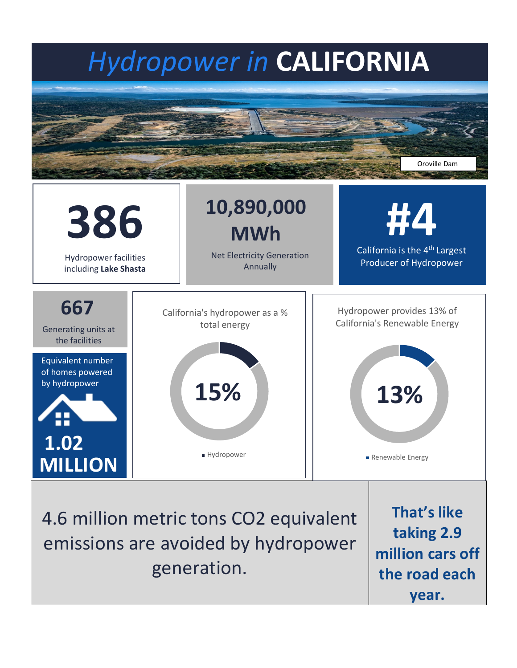## *Hydropower in* **CALIFORNIA**





emissions are avoided by hydropower generation.

**taking 2.9 million cars off the road each year.**